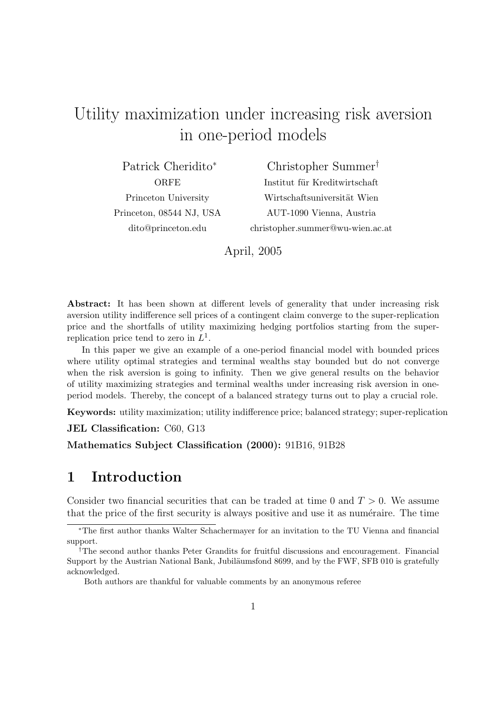# Utility maximization under increasing risk aversion in one-period models

Patrick Cheridito<sup>∗</sup> **ORFE** Princeton University Princeton, 08544 NJ, USA dito@princeton.edu

Christopher Summer† Institut für Kreditwirtschaft Wirtschaftsuniversität Wien AUT-1090 Vienna, Austria christopher.summer@wu-wien.ac.at

April, 2005

Abstract: It has been shown at different levels of generality that under increasing risk aversion utility indifference sell prices of a contingent claim converge to the super-replication price and the shortfalls of utility maximizing hedging portfolios starting from the superreplication price tend to zero in  $L^1$ .

In this paper we give an example of a one-period financial model with bounded prices where utility optimal strategies and terminal wealths stay bounded but do not converge when the risk aversion is going to infinity. Then we give general results on the behavior of utility maximizing strategies and terminal wealths under increasing risk aversion in oneperiod models. Thereby, the concept of a balanced strategy turns out to play a crucial role.

Keywords: utility maximization; utility indifference price; balanced strategy; super-replication

JEL Classification: C60, G13

Mathematics Subject Classification (2000): 91B16, 91B28

#### 1 Introduction

Consider two financial securities that can be traded at time 0 and  $T > 0$ . We assume that the price of the first security is always positive and use it as numéraire. The time

<sup>∗</sup>The first author thanks Walter Schachermayer for an invitation to the TU Vienna and financial support.

<sup>†</sup>The second author thanks Peter Grandits for fruitful discussions and encouragement. Financial Support by the Austrian National Bank, Jubiläumsfond 8699, and by the FWF, SFB 010 is gratefully acknowledged.

Both authors are thankful for valuable comments by an anonymous referee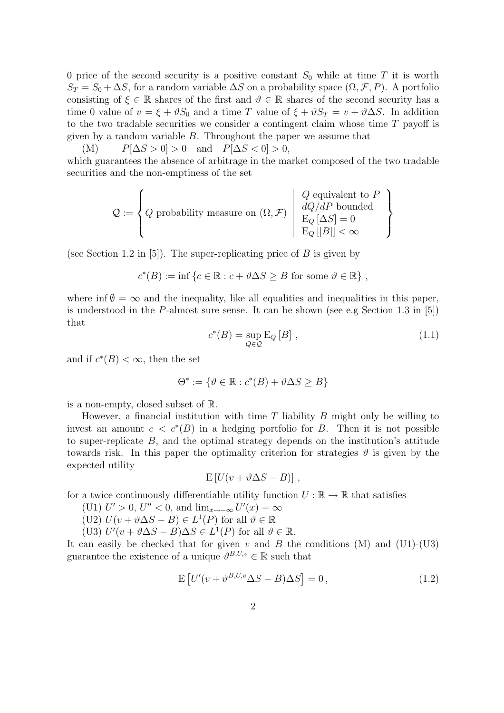0 price of the second security is a positive constant  $S_0$  while at time T it is worth  $S_T = S_0 + \Delta S$ , for a random variable  $\Delta S$  on a probability space  $(\Omega, \mathcal{F}, P)$ . A portfolio consisting of  $\xi \in \mathbb{R}$  shares of the first and  $\vartheta \in \mathbb{R}$  shares of the second security has a time 0 value of  $v = \xi + \vartheta S_0$  and a time T value of  $\xi + \vartheta S_T = v + \vartheta \Delta S$ . In addition to the two tradable securities we consider a contingent claim whose time  $T$  payoff is given by a random variable  $B$ . Throughout the paper we assume that

(M)  $P[\Delta S > 0] > 0$  and  $P[\Delta S < 0] > 0$ , which guarantees the absence of arbitrage in the market composed of the two tradable securities and the non-emptiness of the set

$$
\mathcal{Q} := \left\{ Q \text{ probability measure on } (\Omega, \mathcal{F}) \: \left| \begin{array}{c} Q \text{ equivalent to } P \\ dQ/dP \text{ bounded} \\ \mathcal{E}_Q \left[ \Delta S \right] = 0 \\ \mathcal{E}_Q \left[ |B| \right] < \infty \end{array} \right. \right\}
$$

(see Section 1.2 in [5]). The super-replicating price of  $B$  is given by

$$
c^*(B) := \inf \{ c \in \mathbb{R} : c + \vartheta \Delta S \ge B \text{ for some } \vartheta \in \mathbb{R} \},
$$

where inf  $\emptyset = \infty$  and the inequality, like all equalities and inequalities in this paper, is understood in the P-almost sure sense. It can be shown (see e.g Section 1.3 in [5]) that

$$
c^*(B) = \sup_{Q \in \mathcal{Q}} \mathcal{E}_Q[B], \qquad (1.1)
$$

and if  $c^*(B) < \infty$ , then the set

$$
\Theta^* := \{ \vartheta \in \mathbb{R} : c^*(B) + \vartheta \Delta S \ge B \}
$$

is a non-empty, closed subset of R.

However, a financial institution with time  $T$  liability  $B$  might only be willing to invest an amount  $c < c^*(B)$  in a hedging portfolio for B. Then it is not possible to super-replicate B, and the optimal strategy depends on the institution's attitude towards risk. In this paper the optimality criterion for strategies  $\vartheta$  is given by the expected utility

$$
E[U(v + \vartheta \Delta S - B)],
$$

for a twice continuously differentiable utility function  $U : \mathbb{R} \to \mathbb{R}$  that satisfies

(U1)  $U' > 0$ ,  $U'' < 0$ , and  $\lim_{x \to -\infty} U'(x) = \infty$ 

(U2)  $U(v + \vartheta \Delta S - B) \in L^1(P)$  for all  $\vartheta \in \mathbb{R}$ 

(U3)  $U'(v + \vartheta \Delta S - B) \Delta S \in L^1(P)$  for all  $\vartheta \in \mathbb{R}$ .

It can easily be checked that for given  $v$  and  $B$  the conditions (M) and (U1)-(U3) guarantee the existence of a unique  $\vartheta^{B,U,v} \in \mathbb{R}$  such that

$$
E[U'(v + v^{B,U,v}\Delta S - B)\Delta S] = 0, \qquad (1.2)
$$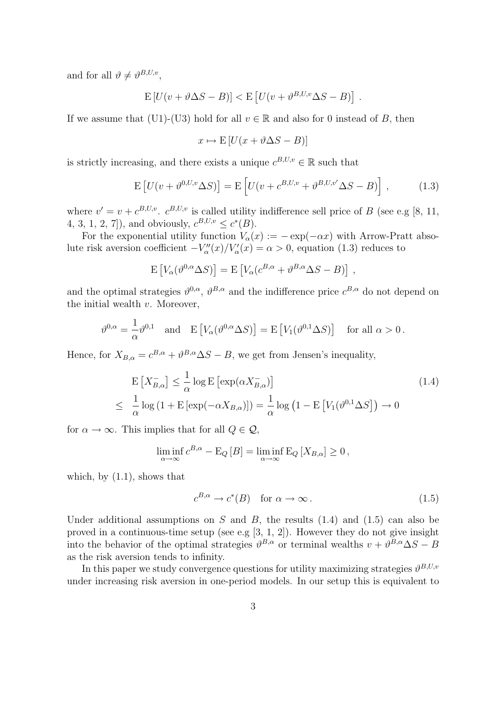and for all  $\vartheta \neq \vartheta^{B,U,v}$ ,

$$
\mathbb{E}\left[U(v+\vartheta\Delta S-B)\right] < \mathbb{E}\left[U(v+\vartheta^{B,U,v}\Delta S-B)\right].
$$

If we assume that (U1)-(U3) hold for all  $v \in \mathbb{R}$  and also for 0 instead of B, then

$$
x \mapsto E\left[U(x + \vartheta \Delta S - B)\right]
$$

is strictly increasing, and there exists a unique  $c^{B,U,v} \in \mathbb{R}$  such that

$$
\mathcal{E}\left[U(v+\vartheta^{0,U,v}\Delta S)\right] = \mathcal{E}\left[U(v+c^{B,U,v}+\vartheta^{B,U,v'}\Delta S-B)\right],\tag{1.3}
$$

where  $v' = v + c^{B,U,v}$ .  $c^{B,U,v}$  is called utility indifference sell price of B (see e.g [8, 11, 4, 3, 1, 2, 7]), and obviously,  $c^{B,U,v} \leq c^*(B)$ .

For the exponential utility function  $V_{\alpha}(x) := -\exp(-\alpha x)$  with Arrow-Pratt absolute risk aversion coefficient  $-V''_{\alpha}(x)/V'_{\alpha}(x) = \alpha > 0$ , equation (1.3) reduces to

$$
\mathbf{E}\left[V_{\alpha}(\vartheta^{0,\alpha}\Delta S)\right] = \mathbf{E}\left[V_{\alpha}(c^{B,\alpha} + \vartheta^{B,\alpha}\Delta S - B)\right],
$$

and the optimal strategies  $\vartheta^{0,\alpha}, \vartheta^{B,\alpha}$  and the indifference price  $c^{B,\alpha}$  do not depend on the initial wealth  $v$ . Moreover,

$$
\vartheta^{0,\alpha} = \frac{1}{\alpha} \vartheta^{0,1} \quad \text{and} \quad E\left[V_{\alpha}(\vartheta^{0,\alpha} \Delta S)\right] = E\left[V_{1}(\vartheta^{0,1} \Delta S)\right] \quad \text{for all } \alpha > 0.
$$

Hence, for  $X_{B,\alpha} = c^{B,\alpha} + \vartheta^{B,\alpha} \Delta S - B$ , we get from Jensen's inequality,

$$
\mathcal{E}\left[X_{B,\alpha}^{-}\right] \leq \frac{1}{\alpha}\log\mathcal{E}\left[\exp(\alpha X_{B,\alpha}^{-})\right]
$$
\n
$$
\leq \frac{1}{\alpha}\log\left(1+\mathcal{E}\left[\exp(-\alpha X_{B,\alpha})\right]\right) = \frac{1}{\alpha}\log\left(1-\mathcal{E}\left[V_{1}(\vartheta^{0,1}\Delta S)\right]\right) \to 0
$$
\n(1.4)

for  $\alpha \to \infty$ . This implies that for all  $Q \in \mathcal{Q}$ ,

$$
\liminf_{\alpha \to \infty} c^{B,\alpha} - \mathcal{E}_Q [B] = \liminf_{\alpha \to \infty} \mathcal{E}_Q [X_{B,\alpha}] \ge 0,
$$

which, by  $(1.1)$ , shows that

$$
c^{B,\alpha} \to c^*(B) \quad \text{for } \alpha \to \infty \,. \tag{1.5}
$$

Under additional assumptions on  $S$  and  $B$ , the results  $(1.4)$  and  $(1.5)$  can also be proved in a continuous-time setup (see e.g [3, 1, 2]). However they do not give insight into the behavior of the optimal strategies  $\vartheta^{B,\alpha}$  or terminal wealths  $v + \vartheta^{B,\alpha} \Delta S - B$ as the risk aversion tends to infinity.

In this paper we study convergence questions for utility maximizing strategies  $\vartheta^{B,U,v}$ under increasing risk aversion in one-period models. In our setup this is equivalent to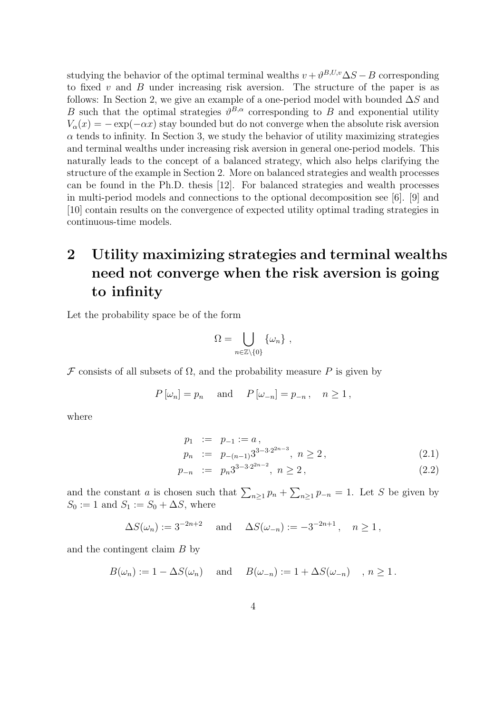studying the behavior of the optimal terminal wealths  $v + \vartheta^{B,U,v} \Delta S - B$  corresponding to fixed  $v$  and  $B$  under increasing risk aversion. The structure of the paper is as follows: In Section 2, we give an example of a one-period model with bounded  $\Delta S$  and B such that the optimal strategies  $\vartheta^{B,\alpha}$  corresponding to B and exponential utility  $V_{\alpha}(x) = -\exp(-\alpha x)$  stay bounded but do not converge when the absolute risk aversion  $\alpha$  tends to infinity. In Section 3, we study the behavior of utility maximizing strategies and terminal wealths under increasing risk aversion in general one-period models. This naturally leads to the concept of a balanced strategy, which also helps clarifying the structure of the example in Section 2. More on balanced strategies and wealth processes can be found in the Ph.D. thesis [12]. For balanced strategies and wealth processes in multi-period models and connections to the optional decomposition see [6]. [9] and [10] contain results on the convergence of expected utility optimal trading strategies in continuous-time models.

## 2 Utility maximizing strategies and terminal wealths need not converge when the risk aversion is going to infinity

Let the probability space be of the form

$$
\Omega = \bigcup_{n \in \mathbb{Z} \setminus \{0\}} \{\omega_n\},\,
$$

 $\mathcal F$  consists of all subsets of  $\Omega$ , and the probability measure P is given by

$$
P[\omega_n] = p_n
$$
 and  $P[\omega_{-n}] = p_{-n}, n \ge 1$ ,

where

$$
p_1 := p_{-1} := a,
$$
  
\n
$$
p_n := p_{-(n-1)} 3^{3-3 \cdot 2^{2n-3}}, \quad n \ge 2,
$$
\n(2.1)

$$
p_{-n} := p_n 3^{3-3 \cdot 2^{2n-2}}, \ n \ge 2,
$$
\n
$$
(2.2)
$$

and the constant a is chosen such that  $\sum_{n\geq 1} p_n +$  $\overline{ }$  $n \geq 1$   $p_{-n} = 1$ . Let S be given by  $S_0 := 1$  and  $S_1 := S_0 + \Delta S$ , where

$$
\Delta S(\omega_n) := 3^{-2n+2}
$$
 and  $\Delta S(\omega_{-n}) := -3^{-2n+1}, n \ge 1$ ,

and the contingent claim B by

$$
B(\omega_n) := 1 - \Delta S(\omega_n)
$$
 and  $B(\omega_{-n}) := 1 + \Delta S(\omega_{-n})$ ,  $n \ge 1$ .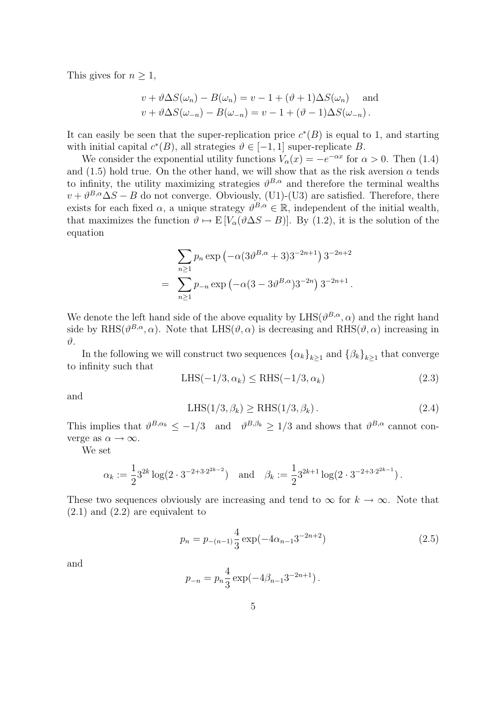This gives for  $n \geq 1$ ,

$$
v + \vartheta \Delta S(\omega_n) - B(\omega_n) = v - 1 + (\vartheta + 1) \Delta S(\omega_n)
$$
 and  

$$
v + \vartheta \Delta S(\omega_{-n}) - B(\omega_{-n}) = v - 1 + (\vartheta - 1) \Delta S(\omega_{-n}).
$$

It can easily be seen that the super-replication price  $c^*(B)$  is equal to 1, and starting with initial capital  $c^*(B)$ , all strategies  $\vartheta \in [-1,1]$  super-replicate B.

We consider the exponential utility functions  $V_{\alpha}(x) = -e^{-\alpha x}$  for  $\alpha > 0$ . Then (1.4) and (1.5) hold true. On the other hand, we will show that as the risk aversion  $\alpha$  tends to infinity, the utility maximizing strategies  $\vartheta^{B,\alpha}$  and therefore the terminal wealths  $v + \vartheta^{B,\alpha} \Delta S - B$  do not converge. Obviously, (U1)-(U3) are satisfied. Therefore, there exists for each fixed  $\alpha$ , a unique strategy  $\vartheta^{B,\alpha} \in \mathbb{R}$ , independent of the initial wealth, that maximizes the function  $\vartheta \mapsto E[V_{\alpha}(\vartheta \Delta S - B)]$ . By (1.2), it is the solution of the equation

$$
\sum_{n\geq 1} p_n \exp\left(-\alpha (3\vartheta^{B,\alpha} + 3)3^{-2n+1}\right) 3^{-2n+2}
$$
  
= 
$$
\sum_{n\geq 1} p_{-n} \exp\left(-\alpha (3-3\vartheta^{B,\alpha})3^{-2n}\right) 3^{-2n+1}.
$$

We denote the left hand side of the above equality by  $LHS(\vartheta^{B,\alpha}, \alpha)$  and the right hand side by RHS( $\vartheta^{B,\alpha}, \alpha$ ). Note that LHS( $\vartheta, \alpha$ ) is decreasing and RHS( $\vartheta, \alpha$ ) increasing in  $\vartheta$ .

In the following we will construct two sequences  $\{\alpha_k\}_{k\geq 1}$  and  $\{\beta_k\}_{k\geq 1}$  that converge to infinity such that

$$
LHS(-1/3, \alpha_k) \le RHS(-1/3, \alpha_k)
$$
\n
$$
(2.3)
$$

and

$$
LHS(1/3, \beta_k) \ge RHS(1/3, \beta_k). \tag{2.4}
$$

This implies that  $\vartheta^{B,\alpha_k} \leq -1/3$  and  $\vartheta^{B,\beta_k} \geq 1/3$  and shows that  $\vartheta^{B,\alpha}$  cannot converge as  $\alpha \to \infty$ .

We set

$$
\alpha_k := \frac{1}{2} 3^{2k} \log(2 \cdot 3^{-2+3 \cdot 2^{2k-2}}) \quad \text{and} \quad \beta_k := \frac{1}{2} 3^{2k+1} \log(2 \cdot 3^{-2+3 \cdot 2^{2k-1}}).
$$

These two sequences obviously are increasing and tend to  $\infty$  for  $k \to \infty$ . Note that  $(2.1)$  and  $(2.2)$  are equivalent to

$$
p_n = p_{-(n-1)} \frac{4}{3} \exp(-4\alpha_{n-1} 3^{-2n+2})
$$
\n(2.5)

and

$$
p_{-n} = p_n \frac{4}{3} \exp(-4\beta_{n-1}3^{-2n+1}).
$$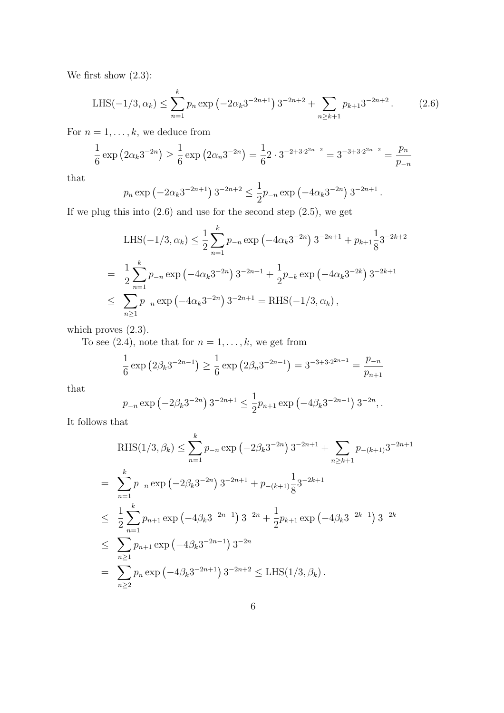We first show  $(2.3)$ :

LHS
$$
(-1/3, \alpha_k)
$$
  $\leq \sum_{n=1}^k p_n \exp(-2\alpha_k 3^{-2n+1}) 3^{-2n+2} + \sum_{n \geq k+1} p_{k+1} 3^{-2n+2}$ . (2.6)

For  $n = 1, \ldots, k$ , we deduce from

$$
\frac{1}{6} \exp \left( 2\alpha_k 3^{-2n} \right) \ge \frac{1}{6} \exp \left( 2\alpha_n 3^{-2n} \right) = \frac{1}{6} 2 \cdot 3^{-2+3 \cdot 2^{2n-2}} = 3^{-3+3 \cdot 2^{2n-2}} = \frac{p_n}{p_{-n}}
$$

that

$$
p_n \exp(-2\alpha_k 3^{-2n+1}) 3^{-2n+2} \le \frac{1}{2}p_{-n} \exp(-4\alpha_k 3^{-2n}) 3^{-2n+1}.
$$

If we plug this into  $(2.6)$  and use for the second step  $(2.5)$ , we get

LHS
$$
(-1/3, \alpha_k) \le \frac{1}{2} \sum_{n=1}^k p_{-n} \exp(-4\alpha_k 3^{-2n}) 3^{-2n+1} + p_{k+1} \frac{1}{8} 3^{-2k+2}
$$
  
\n
$$
= \frac{1}{2} \sum_{n=1}^k p_{-n} \exp(-4\alpha_k 3^{-2n}) 3^{-2n+1} + \frac{1}{2} p_{-k} \exp(-4\alpha_k 3^{-2k}) 3^{-2k+1}
$$
  
\n
$$
\le \sum_{n\ge 1} p_{-n} \exp(-4\alpha_k 3^{-2n}) 3^{-2n+1} = \text{RHS}(-1/3, \alpha_k),
$$

which proves  $(2.3)$ .

To see (2.4), note that for  $n = 1, \ldots, k$ , we get from

$$
\frac{1}{6} \exp \left( 2\beta_k 3^{-2n-1} \right) \ge \frac{1}{6} \exp \left( 2\beta_n 3^{-2n-1} \right) = 3^{-3+3 \cdot 2^{2n-1}} = \frac{p_{-n}}{p_{n+1}}
$$

that

$$
p_{-n} \exp\left(-2\beta_k 3^{-2n}\right) 3^{-2n+1} \le \frac{1}{2} p_{n+1} \exp\left(-4\beta_k 3^{-2n-1}\right) 3^{-2n},
$$

It follows that

$$
\begin{split} \text{RHS}(1/3,\beta_{k}) &\leq \sum_{n=1}^{k} p_{-n} \exp\left(-2\beta_{k} 3^{-2n}\right) 3^{-2n+1} + \sum_{n\geq k+1} p_{-(k+1)} 3^{-2n+1} \\ &= \sum_{n=1}^{k} p_{-n} \exp\left(-2\beta_{k} 3^{-2n}\right) 3^{-2n+1} + p_{-(k+1)} \frac{1}{8} 3^{-2k+1} \\ &\leq \frac{1}{2} \sum_{n=1}^{k} p_{n+1} \exp\left(-4\beta_{k} 3^{-2n-1}\right) 3^{-2n} + \frac{1}{2} p_{k+1} \exp\left(-4\beta_{k} 3^{-2k-1}\right) 3^{-2k} \\ &\leq \sum_{n\geq 1} p_{n+1} \exp\left(-4\beta_{k} 3^{-2n-1}\right) 3^{-2n} \\ &= \sum_{n\geq 2} p_{n} \exp\left(-4\beta_{k} 3^{-2n+1}\right) 3^{-2n+2} \leq \text{LHS}(1/3, \beta_{k}). \end{split}
$$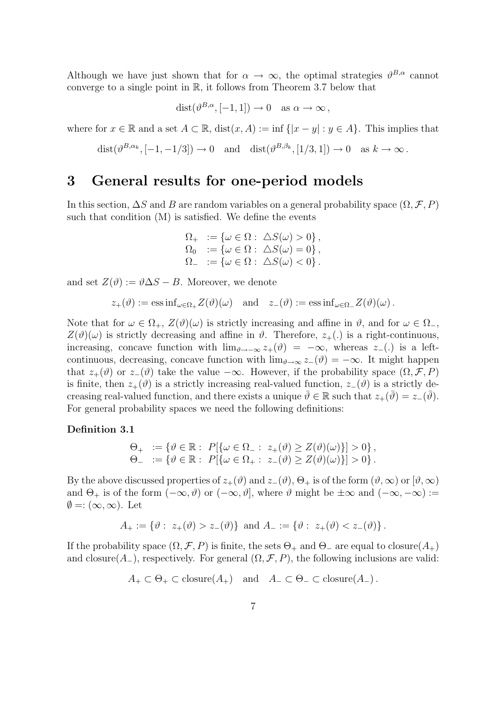Although we have just shown that for  $\alpha \to \infty$ , the optimal strategies  $\vartheta^{B,\alpha}$  cannot converge to a single point in  $\mathbb{R}$ , it follows from Theorem 3.7 below that

$$
dist(\vartheta^{B,\alpha}, [-1,1]) \to 0 \text{ as } \alpha \to \infty,
$$

where for  $x \in \mathbb{R}$  and a set  $A \subset \mathbb{R}$ , dist $(x, A) := \inf \{|x - y| : y \in A\}$ . This implies that

$$
dist(\vartheta^{B,\alpha_k},[-1,-1/3]) \to 0
$$
 and  $dist(\vartheta^{B,\beta_k},[1/3,1]) \to 0$  as  $k \to \infty$ .

#### 3 General results for one-period models

In this section,  $\Delta S$  and B are random variables on a general probability space  $(\Omega, \mathcal{F}, P)$ such that condition (M) is satisfied. We define the events

$$
\begin{array}{ll}\n\Omega_+ & := \{ \omega \in \Omega : \ \Delta S(\omega) > 0 \}, \\
\Omega_0 & := \{ \omega \in \Omega : \ \Delta S(\omega) = 0 \}, \\
\Omega_- & := \{ \omega \in \Omega : \ \Delta S(\omega) < 0 \} \, .\n\end{array}
$$

and set  $Z(\vartheta) := \vartheta \Delta S - B$ . Moreover, we denote

$$
z_+(\vartheta) := \operatorname{ess\,inf}_{\omega \in \Omega_+} Z(\vartheta)(\omega) \quad \text{and} \quad z_-(\vartheta) := \operatorname{ess\,inf}_{\omega \in \Omega_-} Z(\vartheta)(\omega).
$$

Note that for  $\omega \in \Omega_+$ ,  $Z(\vartheta)(\omega)$  is strictly increasing and affine in  $\vartheta$ , and for  $\omega \in \Omega_-$ ,  $Z(\vartheta)(\omega)$  is strictly decreasing and affine in  $\vartheta$ . Therefore,  $z_+(\cdot)$  is a right-continuous, increasing, concave function with  $\lim_{\theta \to -\infty} z_{+}(\theta) = -\infty$ , whereas  $z_{-}(\cdot)$  is a leftcontinuous, decreasing, concave function with  $\lim_{\theta \to \infty} z_-(\theta) = -\infty$ . It might happen that  $z_+(\vartheta)$  or  $z_-(\vartheta)$  take the value  $-\infty$ . However, if the probability space  $(\Omega, \mathcal{F}, P)$ is finite, then  $z_+(\theta)$  is a strictly increasing real-valued function,  $z_-(\theta)$  is a strictly decreasing real-valued function, and there exists a unique  $\vartheta \in \mathbb{R}$  such that  $z_+(\overline{\vartheta}) = z_-(\overline{\vartheta})$ . For general probability spaces we need the following definitions:

#### Definition 3.1

$$
\Theta_+ := \{ \vartheta \in \mathbb{R} : P[\{\omega \in \Omega_- : z_+(\vartheta) \ge Z(\vartheta)(\omega) \}] > 0 \},
$$
  

$$
\Theta_- := \{ \vartheta \in \mathbb{R} : P[\{\omega \in \Omega_+ : z_-(\vartheta) \ge Z(\vartheta)(\omega) \}] > 0 \}.
$$

By the above discussed properties of  $z_+(\theta)$  and  $z_-(\theta)$ ,  $\Theta_+$  is of the form  $(\theta,\infty)$  or  $[\theta,\infty)$ and  $\Theta_+$  is of the form  $(-\infty, \vartheta)$  or  $(-\infty, \vartheta]$ , where  $\vartheta$  might be  $\pm \infty$  and  $(-\infty, -\infty) :=$  $\emptyset =: (\infty, \infty)$ . Let

$$
A_+ := \{ \vartheta : z_+(\vartheta) > z_-(\vartheta) \} \text{ and } A_- := \{ \vartheta : z_+(\vartheta) < z_-(\vartheta) \}.
$$

If the probability space  $(\Omega, \mathcal{F}, P)$  is finite, the sets  $\Theta_+$  and  $\Theta_-$  are equal to closure( $A_+$ ) and closure( $A_{-}$ ), respectively. For general  $(\Omega, \mathcal{F}, P)$ , the following inclusions are valid:

$$
A_+ \subset \Theta_+ \subset \text{closure}(A_+)
$$
 and  $A_- \subset \Theta_- \subset \text{closure}(A_-)$ .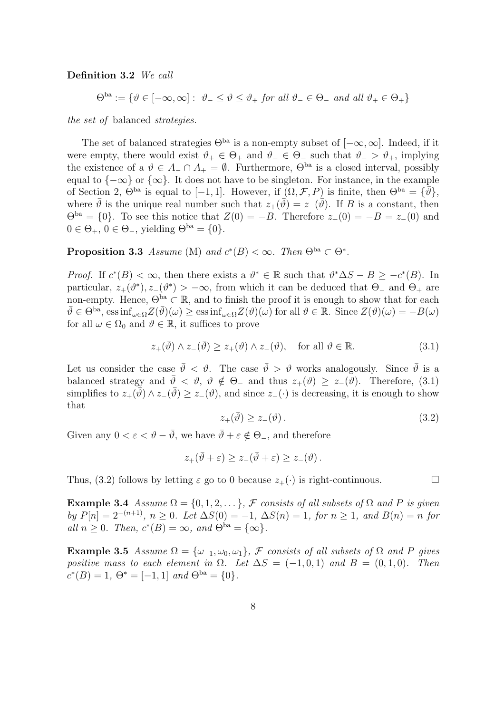Definition 3.2 We call

 $\Theta^{\text{ba}} := \{ \vartheta \in [-\infty, \infty] : \vartheta_- \leq \vartheta \leq \vartheta_+ \text{ for all } \vartheta_- \in \Theta_- \text{ and all } \vartheta_+ \in \Theta_+ \}$ 

the set of balanced strategies.

The set of balanced strategies  $\Theta^{ba}$  is a non-empty subset of  $[-\infty, \infty]$ . Indeed, if it were empty, there would exist  $\vartheta_+ \in \Theta_+$  and  $\vartheta_- \in \Theta_-$  such that  $\vartheta_- > \vartheta_+$ , implying the existence of a  $\vartheta \in A_-\cap A_+ = \varnothing$ . Furthermore,  $\Theta^{ba}$  is a closed interval, possibly equal to  $\{-\infty\}$  or  $\{\infty\}$ . It does not have to be singleton. For instance, in the example of Section 2,  $\Theta^{ba}$  is equal to  $[-1, 1]$ . However, if  $(\Omega, \mathcal{F}, P)$  is finite, then  $\Theta^{ba} = {\overline{\partial}}$ , where  $\bar{\vartheta}$  is the unique real number such that  $z_+(\bar{\vartheta}) = z_-(\bar{\vartheta})$ . If B is a constant, then  $\Theta^{\text{ba}} = \{0\}$ . To see this notice that  $Z(0) = -B$ . Therefore  $z_+(0) = -B = z_-(0)$  and  $0 \in \Theta_+$ ,  $0 \in \Theta_-$ , yielding  $\Theta^{\text{ba}} = \{0\}.$ 

**Proposition 3.3** Assume (M) and  $c^*(B) < \infty$ . Then  $\Theta^{ba} \subset \Theta^*$ .

*Proof.* If  $c^*(B) < \infty$ , then there exists a  $\vartheta^* \in \mathbb{R}$  such that  $\vartheta^* \Delta S - B \geq -c^*(B)$ . In particular,  $z_+(\theta^*)$ ,  $z_-(\theta^*) > -\infty$ , from which it can be deduced that  $\Theta_-$  and  $\Theta_+$  are non-empty. Hence,  $\Theta^{ba} \subset \mathbb{R}$ , and to finish the proof it is enough to show that for each  $\bar{\vartheta} \in \Theta^{\text{ba}}$ , ess  $\inf_{\omega \in \Omega} Z(\bar{\vartheta})(\omega) \ge \text{ess} \inf_{\omega \in \Omega} Z(\vartheta)(\omega)$  for all  $\vartheta \in \mathbb{R}$ . Since  $Z(\vartheta)(\omega) = -B(\omega)$ for all  $\omega \in \Omega_0$  and  $\vartheta \in \mathbb{R}$ , it suffices to prove

$$
z_{+}(\bar{\vartheta}) \wedge z_{-}(\bar{\vartheta}) \ge z_{+}(\vartheta) \wedge z_{-}(\vartheta), \quad \text{for all } \vartheta \in \mathbb{R}.
$$
 (3.1)

Let us consider the case  $\bar{\vartheta} < \vartheta$ . The case  $\bar{\vartheta} > \vartheta$  works analogously. Since  $\bar{\vartheta}$  is a balanced strategy and  $\bar{\vartheta} < \vartheta, \vartheta \notin \Theta_-$  and thus  $z_+(\vartheta) \ge z_-(\vartheta)$ . Therefore, (3.1) simplifies to  $z_+(\overline{\vartheta}) \wedge z_-(\overline{\vartheta}) \geq z_-(\vartheta)$ , and since  $z_-(\cdot)$  is decreasing, it is enough to show that

$$
z_{+}(\bar{\vartheta}) \ge z_{-}(\vartheta). \tag{3.2}
$$

Given any  $0 < \varepsilon < \vartheta - \overline{\vartheta}$ , we have  $\overline{\vartheta} + \varepsilon \notin \Theta_{-}$ , and therefore

$$
z_+(\bar{\vartheta}+\varepsilon) \ge z_-(\bar{\vartheta}+\varepsilon) \ge z_-(\vartheta).
$$

Thus, (3.2) follows by letting  $\varepsilon$  go to 0 because  $z_+(\cdot)$  is right-continuous.

Example 3.4 Assume  $\Omega = \{0, 1, 2, \dots\}$ , F consists of all subsets of  $\Omega$  and P is given by  $P[n] = 2^{-(n+1)}$ ,  $n \ge 0$ . Let  $\Delta S(0) = -1$ ,  $\Delta S(n) = 1$ , for  $n \ge 1$ , and  $B(n) = n$  for all  $n \geq 0$ . Then,  $c^*(B) = \infty$ , and  $\Theta^{ba} = {\infty}$ .

Example 3.5 Assume  $\Omega = {\omega_{-1}, \omega_0, \omega_1}$ , F consists of all subsets of  $\Omega$  and P gives positive mass to each element in  $\Omega$ . Let  $\Delta S = (-1,0,1)$  and  $B = (0,1,0)$ . Then  $c^*(B) = 1, \, \Theta^* = [-1, 1] \text{ and } \Theta^{\text{ba}} = \{0\}.$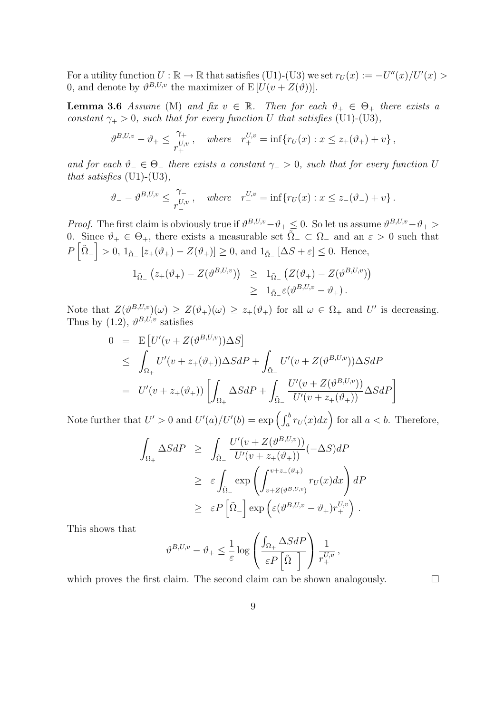For a utility function  $U : \mathbb{R} \to \mathbb{R}$  that satisfies (U1)-(U3) we set  $r_U(x) := -U''(x)/U'(x) > 0$ 0, and denote by  $\vartheta^{B,U,v}$  the maximizer of  $E[U(v+Z(\vartheta))].$ 

**Lemma 3.6** Assume (M) and fix  $v \in \mathbb{R}$ . Then for each  $\vartheta_+ \in \Theta_+$  there exists a constant  $\gamma_+ > 0$ , such that for every function U that satisfies (U1)-(U3),

$$
\vartheta^{B,U,v} - \vartheta_+ \leq \frac{\gamma_+}{r_+^{U,v}}, \quad \text{where} \quad r_+^{U,v} = \inf \{ r_U(x) : x \leq z_+(\vartheta_+) + v \},
$$

and for each  $\vartheta_-\in\Theta_-$  there exists a constant  $\gamma_->0$ , such that for every function U that satisfies  $(U1)-(U3)$ ,

$$
\vartheta_{-} - \vartheta^{B,U,v} \leq \frac{\gamma_{-}}{r_{-}^{U,v}}, \text{ where } r_{-}^{U,v} = \inf \{ r_{U}(x) : x \leq z_{-}(\vartheta_{-}) + v \}.
$$

*Proof.* The first claim is obviously true if  $\vartheta^{B,U,v} - \vartheta_+ \leq 0$ . So let us assume  $\vartheta^{B,U,v} - \vartheta_+ >$ 0. Since  $\vartheta_+ \in \Theta_+$ , there exists a measurable set  $\overline{\tilde{\Omega}}_- \subset \Omega_-$  and an  $\varepsilon > 0$  such that P h  $\tilde{\Omega}_ \frac{c}{1}$  $> 0, 1_{\tilde{\Omega}_-}[z_{+}(\vartheta_+) - Z(\vartheta_+)] \geq 0$ , and  $1_{\tilde{\Omega}_-}[\Delta S + \varepsilon] \leq 0$ . Hence,

$$
1_{\tilde{\Omega}_{-}}(z_{+}(\vartheta_{+}) - Z(\vartheta^{B,U,v})) \geq 1_{\tilde{\Omega}_{-}}(Z(\vartheta_{+}) - Z(\vartheta^{B,U,v}))
$$
  

$$
\geq 1_{\tilde{\Omega}_{-}} \varepsilon(\vartheta^{B,U,v} - \vartheta_{+}).
$$

Note that  $Z(\vartheta^{B,U,v})(\omega) \geq Z(\vartheta_+)(\omega) \geq z_+(\vartheta_+)$  for all  $\omega \in \Omega_+$  and U' is decreasing. Thus by  $(1.2)$ ,  $\vartheta^{B,U,v}$  satisfies

$$
0 = \mathbf{E} [U'(v + Z(\vartheta^{B,U,v}))\Delta S]
$$
  
\n
$$
\leq \int_{\Omega_+} U'(v + z_+(\vartheta_+))\Delta SdP + \int_{\tilde{\Omega}_-} U'(v + Z(\vartheta^{B,U,v}))\Delta SdP
$$
  
\n
$$
= U'(v + z_+(\vartheta_+)) \left[ \int_{\Omega_+} \Delta SdP + \int_{\tilde{\Omega}_-} \frac{U'(v + Z(\vartheta^{B,U,v}))}{U'(v + z_+(\vartheta_+))} \Delta SdP \right]
$$

Note further that  $U' > 0$  and  $U'(a)/U'(b) = \exp\left(\int_a^b r_U(x)dx\right)$  for all  $a < b$ . Therefore,

$$
\int_{\Omega_{+}} \Delta S dP \geq \int_{\tilde{\Omega}_{-}} \frac{U'(v + Z(\vartheta^{B,U,v}))}{U'(v + z_{+}(\vartheta_{+}))} (-\Delta S) dP
$$
\n
$$
\geq \varepsilon \int_{\tilde{\Omega}_{-}} \exp\left(\int_{v + Z(\vartheta^{B,U,v})}^{v + z_{+}(\vartheta_{+})} r_{U}(x) dx\right) dP
$$
\n
$$
\geq \varepsilon P\left[\tilde{\Omega}_{-}\right] \exp\left(\varepsilon(\vartheta^{B,U,v} - \vartheta_{+})r_{+}^{U,v}\right).
$$

This shows that

$$
\vartheta^{B,U,v}-\vartheta_+\leq \frac{1}{\varepsilon}\log\left(\frac{\int_{\Omega_+}\Delta SdP}{\varepsilon P\left[\tilde{\Omega}_-\right]}\right)\frac{1}{r^{U,v}_+},
$$

which proves the first claim. The second claim can be shown analogously.  $\Box$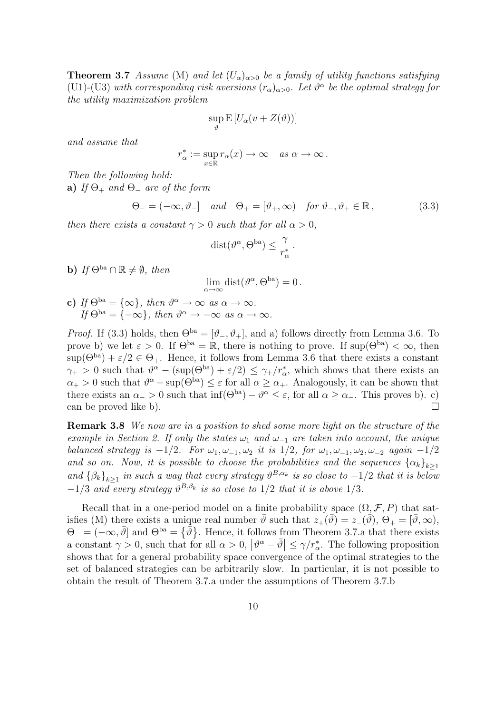**Theorem 3.7** Assume (M) and let  $(U_\alpha)_{\alpha>0}$  be a family of utility functions satisfying (U1)-(U3) with corresponding risk aversions  $(r_{\alpha})_{\alpha>0}$ . Let  $\vartheta^{\alpha}$  be the optimal strategy for the utility maximization problem

$$
\sup_{\vartheta} \mathbf{E} \left[ U_{\alpha}(v + Z(\vartheta)) \right]
$$

and assume that

$$
r^*_{\alpha} := \sup_{x \in \mathbb{R}} r_{\alpha}(x) \to \infty \quad as \; \alpha \to \infty.
$$

Then the following hold:

a) If  $\Theta_+$  and  $\Theta_-$  are of the form

$$
\Theta_{-} = (-\infty, \vartheta_{-}] \quad \text{and} \quad \Theta_{+} = [\vartheta_{+}, \infty) \quad \text{for } \vartheta_{-}, \vartheta_{+} \in \mathbb{R} \,, \tag{3.3}
$$

then there exists a constant  $\gamma > 0$  such that for all  $\alpha > 0$ ,

$$
\mathrm{dist}(\vartheta^{\alpha}, \Theta^{\mathrm{ba}}) \le \frac{\gamma}{r_{\alpha}^*}.
$$

b) If  $\Theta^{\text{ba}} \cap \mathbb{R} \neq \emptyset$ , then

 $\lim_{\alpha \to \infty} \text{dist}(\vartheta^{\alpha}, \Theta^{\text{ba}}) = 0.$ 

c) If  $\Theta^{ba} = {\infty}$ , then  $\vartheta^{\alpha} \to \infty$  as  $\alpha \to \infty$ . If  $\Theta^{\text{ba}} = \{-\infty\}$ , then  $\vartheta^{\alpha} \to -\infty$  as  $\alpha \to \infty$ .

*Proof.* If (3.3) holds, then  $\Theta^{ba} = [\vartheta_-, \vartheta_+]$ , and a) follows directly from Lemma 3.6. To prove b) we let  $\varepsilon > 0$ . If  $\Theta^{ba} = \mathbb{R}$ , there is nothing to prove. If  $\sup(\Theta^{ba}) < \infty$ , then  $\sup(\Theta^{\text{ba}}) + \varepsilon/2 \in \Theta_+$ . Hence, it follows from Lemma 3.6 that there exists a constant  $\gamma_+ > 0$  such that  $\vartheta^{\alpha} - (\sup(\Theta^{\text{ba}}) + \varepsilon/2) \leq \gamma_+ / r_{\alpha}^*$ , which shows that there exists an  $\alpha_+ > 0$  such that  $\vartheta^{\alpha} - \sup(\Theta^{\text{ba}}) \leq \varepsilon$  for all  $\alpha \geq \alpha_+$ . Analogously, it can be shown that there exists an  $\alpha$  > 0 such that  $\inf(\Theta^{ba}) - \vartheta^{\alpha} \leq \varepsilon$ , for all  $\alpha \geq \alpha$ . This proves b). c) can be proved like b).  $\Box$ 

Remark 3.8 We now are in a position to shed some more light on the structure of the example in Section 2. If only the states  $\omega_1$  and  $\omega_{-1}$  are taken into account, the unique balanced strategy is  $-1/2$ . For  $\omega_1, \omega_{-1}, \omega_2$  it is  $1/2$ , for  $\omega_1, \omega_{-1}, \omega_2, \omega_{-2}$  again  $-1/2$ and so on. Now, it is possible to choose the probabilities and the sequences  $\{\alpha_k\}_{k\geq 1}$ and  $\{\beta_k\}_{k\geq 1}$  in such a way that every strategy  $\vartheta^{B,\alpha_k}$  is so close to  $-1/2$  that it is below  $-1/3$  and every strategy  $\vartheta^{B,\beta_k}$  is so close to  $1/2$  that it is above  $1/3$ .

Recall that in a one-period model on a finite probability space  $(\Omega, \mathcal{F}, P)$  that satisfies (M) there exists a unique real number  $\bar{\vartheta}$  such that  $z_+(\bar{\vartheta}) = z_-(\bar{\vartheta}), \ \Theta_+ = [\bar{\vartheta}, \infty),$  $\Theta_{-} = (-\infty, \bar{\vartheta}]$  and  $\Theta^{\text{ba}} = {\{\bar{\vartheta}\}}$ . Hence, it follows from Theorem 3.7.a that there exists a constant  $\gamma > 0$ , such that for all  $\alpha > 0$ ,  $|\vartheta^{\alpha} - \bar{\vartheta}| \leq \gamma/r_{\alpha}^*$ . The following proposition shows that for a general probability space convergence of the optimal strategies to the set of balanced strategies can be arbitrarily slow. In particular, it is not possible to obtain the result of Theorem 3.7.a under the assumptions of Theorem 3.7.b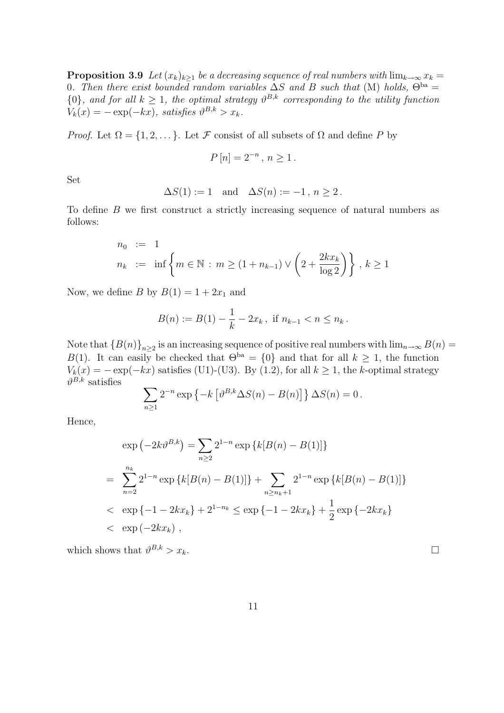**Proposition 3.9** Let  $(x_k)_{k\geq 1}$  be a decreasing sequence of real numbers with  $\lim_{k\to\infty} x_k =$ 0. Then there exist bounded random variables  $\Delta S$  and B such that (M) holds,  $\Theta^{ba} =$  $\{0\}$ , and for all  $k \geq 1$ , the optimal strategy  $\vartheta^{B,k}$  corresponding to the utility function  $V_k(x) = -\exp(-kx)$ , satisfies  $\vartheta^{B,k} > x_k$ .

*Proof.* Let  $\Omega = \{1, 2, \dots\}$ . Let F consist of all subsets of  $\Omega$  and define P by

$$
P[n] = 2^{-n}, n \ge 1.
$$

Set

$$
\Delta S(1) := 1 \quad \text{and} \quad \Delta S(n) := -1 \,,\, n \ge 2 \,.
$$

To define B we first construct a strictly increasing sequence of natural numbers as follows:

$$
n_0 := 1
$$
  
\n
$$
n_k := \inf \left\{ m \in \mathbb{N} : m \ge (1 + n_{k-1}) \vee \left( 2 + \frac{2kx_k}{\log 2} \right) \right\}, k \ge 1
$$

Now, we define B by  $B(1) = 1 + 2x_1$  and

$$
B(n) := B(1) - \frac{1}{k} - 2x_k, \text{ if } n_{k-1} < n \le n_k.
$$

Note that  ${B(n)}_{n\geq 2}$  is an increasing sequence of positive real numbers with  $\lim_{n\to\infty} B(n)$ B(1). It can easily be checked that  $\Theta^{ba} = \{0\}$  and that for all  $k \geq 1$ , the function  $V_k(x) = -\exp(-kx)$  satisfies (U1)-(U3). By (1.2), for all  $k \ge 1$ , the k-optimal strategy  $\vartheta^{B,k}$  satisfies  $\overline{\phantom{a}}$ £

$$
\sum_{n\geq 1} 2^{-n} \exp \left\{-k \left[\vartheta^{B,k} \Delta S(n) - B(n)\right]\right\} \Delta S(n) = 0.
$$

Hence,

$$
\exp(-2k\vartheta^{B,k}) = \sum_{n\geq 2} 2^{1-n} \exp\left\{k[B(n) - B(1)]\right\}
$$
  
= 
$$
\sum_{n=2}^{n_k} 2^{1-n} \exp\left\{k[B(n) - B(1)]\right\} + \sum_{n\geq n_k+1} 2^{1-n} \exp\left\{k[B(n) - B(1)]\right\}
$$
  

$$
< \exp\{-1 - 2kx_k\} + 2^{1-n_k} \leq \exp\{-1 - 2kx_k\} + \frac{1}{2} \exp\{-2kx_k\}
$$
  

$$
< \exp(-2kx_k),
$$

which shows that  $\vartheta^{B,k} > x_k$ .